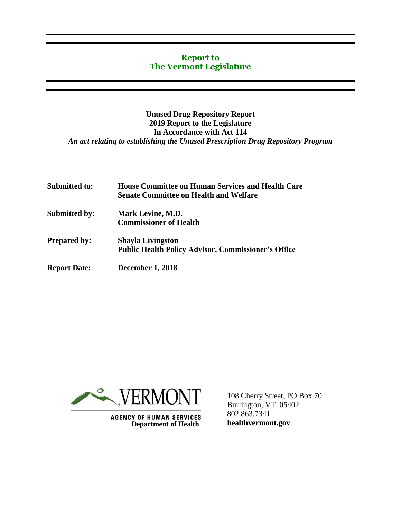#### **Report to The Vermont Legislature**

#### **Unused Drug Repository Report 2019 Report to the Legislature In Accordance with Act 114** *An act relating to establishing the Unused Prescription Drug Repository Program*

| <b>Submitted to:</b> | <b>House Committee on Human Services and Health Care</b><br><b>Senate Committee on Health and Welfare</b> |
|----------------------|-----------------------------------------------------------------------------------------------------------|
| <b>Submitted by:</b> | Mark Levine, M.D.<br><b>Commissioner of Health</b>                                                        |
| <b>Prepared by:</b>  | <b>Shayla Livingston</b><br><b>Public Health Policy Advisor, Commissioner's Office</b>                    |
| <b>Report Date:</b>  | <b>December 1, 2018</b>                                                                                   |



**Department of Health** 

108 Cherry Street, PO Box 70 Burlington, VT 05402 802.863.7341 **healthvermont.gov**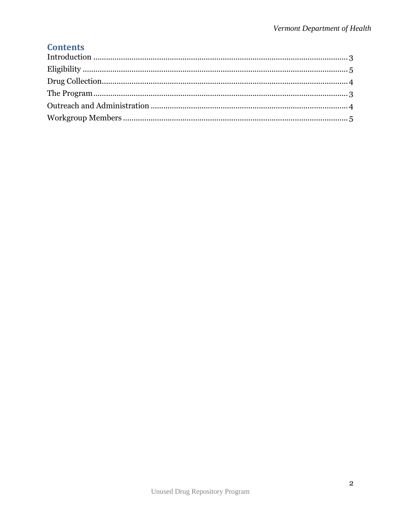# **Contents**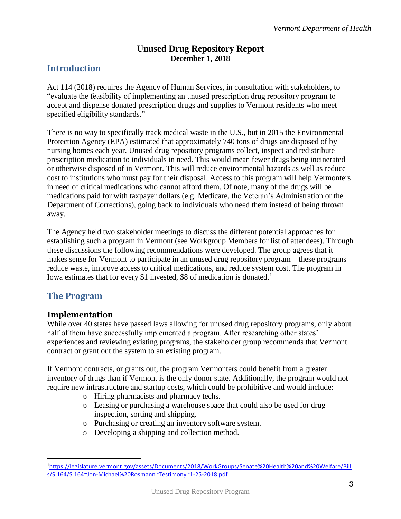## **Unused Drug Repository Report December 1, 2018**

## <span id="page-2-0"></span>**Introduction**

Act 114 (2018) requires the Agency of Human Services, in consultation with stakeholders, to "evaluate the feasibility of implementing an unused prescription drug repository program to accept and dispense donated prescription drugs and supplies to Vermont residents who meet specified eligibility standards."

There is no way to specifically track medical waste in the U.S., but in 2015 the Environmental Protection Agency (EPA) estimated that approximately 740 tons of drugs are disposed of by nursing homes each year. Unused drug repository programs collect, inspect and redistribute prescription medication to individuals in need. This would mean fewer drugs being incinerated or otherwise disposed of in Vermont. This will reduce environmental hazards as well as reduce cost to institutions who must pay for their disposal. Access to this program will help Vermonters in need of critical medications who cannot afford them. Of note, many of the drugs will be medications paid for with taxpayer dollars (e.g. Medicare, the Veteran's Administration or the Department of Corrections), going back to individuals who need them instead of being thrown away.

The Agency held two stakeholder meetings to discuss the different potential approaches for establishing such a program in Vermont (see Workgroup Members for list of attendees). Through these discussions the following recommendations were developed. The group agrees that it makes sense for Vermont to participate in an unused drug repository program – these programs reduce waste, improve access to critical medications, and reduce system cost. The program in Iowa estimates that for every \$1 invested, \$8 of medication is donated.<sup>1</sup>

## <span id="page-2-1"></span>**The Program**

 $\overline{a}$ 

#### **Implementation**

While over 40 states have passed laws allowing for unused drug repository programs, only about half of them have successfully implemented a program. After researching other states' experiences and reviewing existing programs, the stakeholder group recommends that Vermont contract or grant out the system to an existing program.

If Vermont contracts, or grants out, the program Vermonters could benefit from a greater inventory of drugs than if Vermont is the only donor state. Additionally, the program would not require new infrastructure and startup costs, which could be prohibitive and would include:

- o Hiring pharmacists and pharmacy techs.
- o Leasing or purchasing a warehouse space that could also be used for drug inspection, sorting and shipping.
- o Purchasing or creating an inventory software system.
- o Developing a shipping and collection method.

<sup>1</sup>[https://legislature.vermont.gov/assets/Documents/2018/WorkGroups/Senate%20Health%20and%20Welfare/Bill](https://legislature.vermont.gov/assets/Documents/2018/WorkGroups/Senate%20Health%20and%20Welfare/Bills/S.164/S.164~Jon-Michael%20Rosmann~Testimony~1-25-2018.pdf) [s/S.164/S.164~Jon-Michael%20Rosmann~Testimony~1-25-2018.pdf](https://legislature.vermont.gov/assets/Documents/2018/WorkGroups/Senate%20Health%20and%20Welfare/Bills/S.164/S.164~Jon-Michael%20Rosmann~Testimony~1-25-2018.pdf)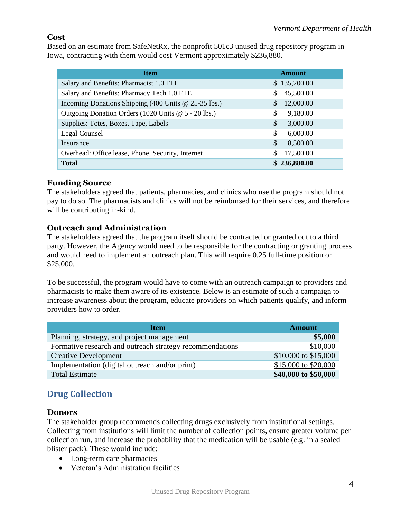#### **Cost**

Based on an estimate from SafeNetRx, the nonprofit 501c3 unused drug repository program in Iowa, contracting with them would cost Vermont approximately \$236,880.

| <b>Item</b>                                          | <b>Amount</b>   |
|------------------------------------------------------|-----------------|
| Salary and Benefits: Pharmacist 1.0 FTE              | \$135,200.00    |
| Salary and Benefits: Pharmacy Tech 1.0 FTE           | 45,500.00<br>\$ |
| Incoming Donations Shipping (400 Units @ 25-35 lbs.) | 12,000.00<br>S  |
| Outgoing Donation Orders (1020 Units @ 5 - 20 lbs.)  | 9,180.00<br>\$  |
| Supplies: Totes, Boxes, Tape, Labels                 | \$<br>3,000.00  |
| Legal Counsel                                        | \$<br>6,000.00  |
| Insurance                                            | \$<br>8,500.00  |
| Overhead: Office lease, Phone, Security, Internet    | 17,500.00<br>\$ |
| <b>Total</b>                                         | \$236,880.00    |

## **Funding Source**

The stakeholders agreed that patients, pharmacies, and clinics who use the program should not pay to do so. The pharmacists and clinics will not be reimbursed for their services, and therefore will be contributing in-kind.

## <span id="page-3-1"></span>**Outreach and Administration**

The stakeholders agreed that the program itself should be contracted or granted out to a third party. However, the Agency would need to be responsible for the contracting or granting process and would need to implement an outreach plan. This will require 0.25 full-time position or \$25,000.

To be successful, the program would have to come with an outreach campaign to providers and pharmacists to make them aware of its existence. Below is an estimate of such a campaign to increase awareness about the program, educate providers on which patients qualify, and inform providers how to order.

| <b>Item</b>                                              | <b>Amount</b>        |
|----------------------------------------------------------|----------------------|
| Planning, strategy, and project management               | \$5,000              |
| Formative research and outreach strategy recommendations | \$10,000             |
| <b>Creative Development</b>                              | \$10,000 to \$15,000 |
| Implementation (digital outreach and/or print)           | \$15,000 to \$20,000 |
| <b>Total Estimate</b>                                    | \$40,000 to \$50,000 |

# <span id="page-3-0"></span>**Drug Collection**

#### **Donors**

The stakeholder group recommends collecting drugs exclusively from institutional settings. Collecting from institutions will limit the number of collection points, ensure greater volume per collection run, and increase the probability that the medication will be usable (e.g. in a sealed blister pack). These would include:

- Long-term care pharmacies
- Veteran's Administration facilities